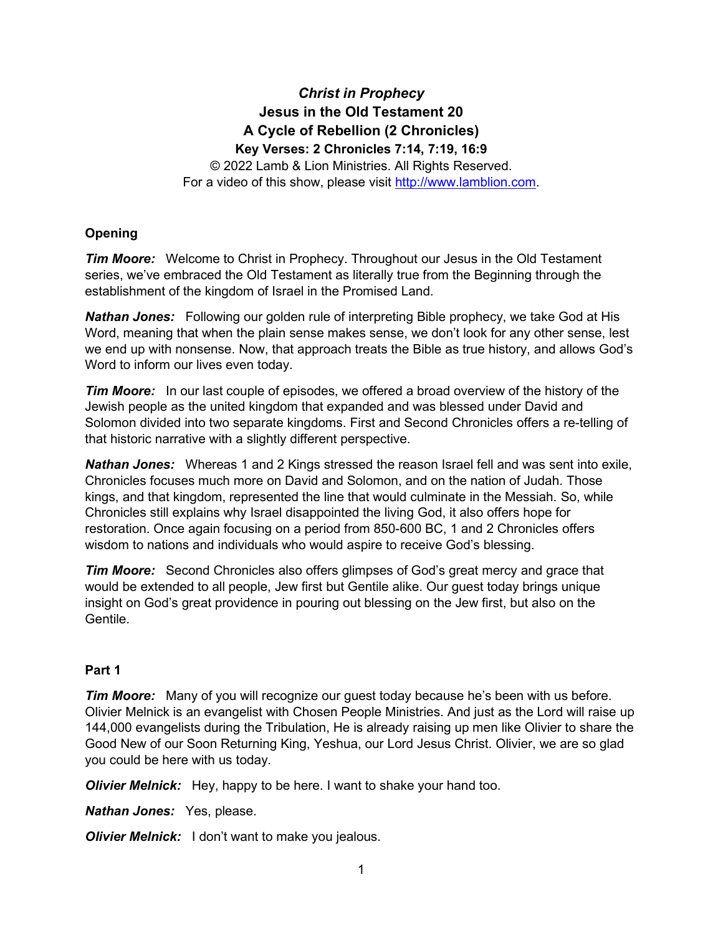# *Christ in Prophecy* **Jesus in the Old Testament 20 A Cycle of Rebellion (2 Chronicles) Key Verses: 2 Chronicles 7:14, 7:19, 16:9**

© 2022 Lamb & Lion Ministries. All Rights Reserved. For a video of this show, please visit [http://www.lamblion.com.](http://www.lamblion.com/)

# **Opening**

*Tim Moore:* Welcome to Christ in Prophecy. Throughout our Jesus in the Old Testament series, we've embraced the Old Testament as literally true from the Beginning through the establishment of the kingdom of Israel in the Promised Land.

*Nathan Jones:* Following our golden rule of interpreting Bible prophecy, we take God at His Word, meaning that when the plain sense makes sense, we don't look for any other sense, lest we end up with nonsense. Now, that approach treats the Bible as true history, and allows God's Word to inform our lives even today.

*Tim Moore:* In our last couple of episodes, we offered a broad overview of the history of the Jewish people as the united kingdom that expanded and was blessed under David and Solomon divided into two separate kingdoms. First and Second Chronicles offers a re-telling of that historic narrative with a slightly different perspective.

*Nathan Jones:* Whereas 1 and 2 Kings stressed the reason Israel fell and was sent into exile, Chronicles focuses much more on David and Solomon, and on the nation of Judah. Those kings, and that kingdom, represented the line that would culminate in the Messiah. So, while Chronicles still explains why Israel disappointed the living God, it also offers hope for restoration. Once again focusing on a period from 850-600 BC, 1 and 2 Chronicles offers wisdom to nations and individuals who would aspire to receive God's blessing.

**Tim Moore:** Second Chronicles also offers glimpses of God's great mercy and grace that would be extended to all people, Jew first but Gentile alike. Our guest today brings unique insight on God's great providence in pouring out blessing on the Jew first, but also on the Gentile.

# **Part 1**

*Tim Moore:* Many of you will recognize our guest today because he's been with us before. Olivier Melnick is an evangelist with Chosen People Ministries. And just as the Lord will raise up 144,000 evangelists during the Tribulation, He is already raising up men like Olivier to share the Good New of our Soon Returning King, Yeshua, our Lord Jesus Christ. Olivier, we are so glad you could be here with us today.

*Olivier Melnick:* Hey, happy to be here. I want to shake your hand too.

*Nathan Jones:* Yes, please.

*Olivier Melnick:* I don't want to make you jealous.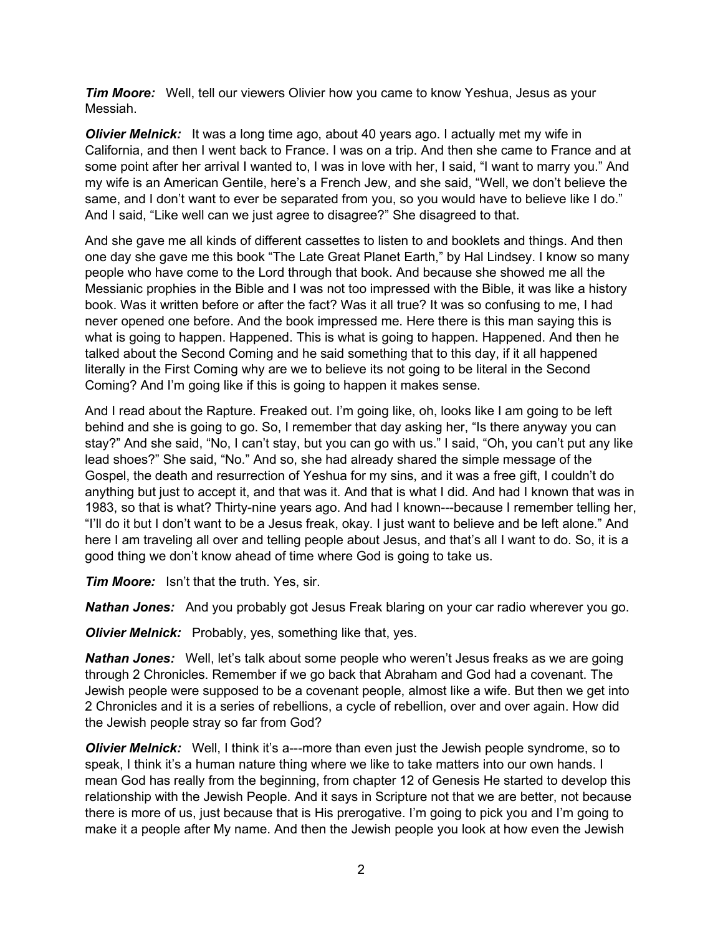*Tim Moore:* Well, tell our viewers Olivier how you came to know Yeshua, Jesus as your Messiah.

*Olivier Melnick:* It was a long time ago, about 40 years ago. I actually met my wife in California, and then I went back to France. I was on a trip. And then she came to France and at some point after her arrival I wanted to, I was in love with her, I said, "I want to marry you." And my wife is an American Gentile, here's a French Jew, and she said, "Well, we don't believe the same, and I don't want to ever be separated from you, so you would have to believe like I do." And I said, "Like well can we just agree to disagree?" She disagreed to that.

And she gave me all kinds of different cassettes to listen to and booklets and things. And then one day she gave me this book "The Late Great Planet Earth," by Hal Lindsey. I know so many people who have come to the Lord through that book. And because she showed me all the Messianic prophies in the Bible and I was not too impressed with the Bible, it was like a history book. Was it written before or after the fact? Was it all true? It was so confusing to me, I had never opened one before. And the book impressed me. Here there is this man saying this is what is going to happen. Happened. This is what is going to happen. Happened. And then he talked about the Second Coming and he said something that to this day, if it all happened literally in the First Coming why are we to believe its not going to be literal in the Second Coming? And I'm going like if this is going to happen it makes sense.

And I read about the Rapture. Freaked out. I'm going like, oh, looks like I am going to be left behind and she is going to go. So, I remember that day asking her, "Is there anyway you can stay?" And she said, "No, I can't stay, but you can go with us." I said, "Oh, you can't put any like lead shoes?" She said, "No." And so, she had already shared the simple message of the Gospel, the death and resurrection of Yeshua for my sins, and it was a free gift, I couldn't do anything but just to accept it, and that was it. And that is what I did. And had I known that was in 1983, so that is what? Thirty-nine years ago. And had I known---because I remember telling her, "I'll do it but I don't want to be a Jesus freak, okay. I just want to believe and be left alone." And here I am traveling all over and telling people about Jesus, and that's all I want to do. So, it is a good thing we don't know ahead of time where God is going to take us.

*Tim Moore:* Isn't that the truth. Yes, sir.

*Nathan Jones:* And you probably got Jesus Freak blaring on your car radio wherever you go.

*Olivier Melnick:* Probably, yes, something like that, yes.

*Nathan Jones:* Well, let's talk about some people who weren't Jesus freaks as we are going through 2 Chronicles. Remember if we go back that Abraham and God had a covenant. The Jewish people were supposed to be a covenant people, almost like a wife. But then we get into 2 Chronicles and it is a series of rebellions, a cycle of rebellion, over and over again. How did the Jewish people stray so far from God?

*Olivier Melnick:* Well, I think it's a---more than even just the Jewish people syndrome, so to speak, I think it's a human nature thing where we like to take matters into our own hands. I mean God has really from the beginning, from chapter 12 of Genesis He started to develop this relationship with the Jewish People. And it says in Scripture not that we are better, not because there is more of us, just because that is His prerogative. I'm going to pick you and I'm going to make it a people after My name. And then the Jewish people you look at how even the Jewish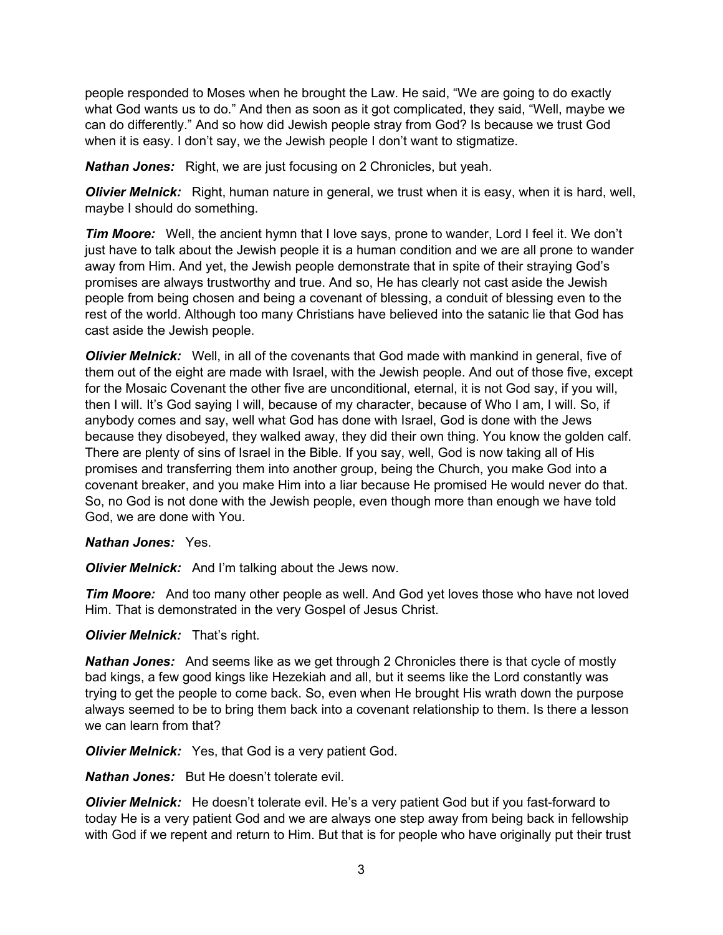people responded to Moses when he brought the Law. He said, "We are going to do exactly what God wants us to do." And then as soon as it got complicated, they said, "Well, maybe we can do differently." And so how did Jewish people stray from God? Is because we trust God when it is easy. I don't say, we the Jewish people I don't want to stigmatize.

*Nathan Jones:* Right, we are just focusing on 2 Chronicles, but yeah.

*Olivier Melnick:* Right, human nature in general, we trust when it is easy, when it is hard, well, maybe I should do something.

**Tim Moore:** Well, the ancient hymn that I love says, prone to wander, Lord I feel it. We don't just have to talk about the Jewish people it is a human condition and we are all prone to wander away from Him. And yet, the Jewish people demonstrate that in spite of their straying God's promises are always trustworthy and true. And so, He has clearly not cast aside the Jewish people from being chosen and being a covenant of blessing, a conduit of blessing even to the rest of the world. Although too many Christians have believed into the satanic lie that God has cast aside the Jewish people.

*Olivier Melnick:* Well, in all of the covenants that God made with mankind in general, five of them out of the eight are made with Israel, with the Jewish people. And out of those five, except for the Mosaic Covenant the other five are unconditional, eternal, it is not God say, if you will, then I will. It's God saying I will, because of my character, because of Who I am, I will. So, if anybody comes and say, well what God has done with Israel, God is done with the Jews because they disobeyed, they walked away, they did their own thing. You know the golden calf. There are plenty of sins of Israel in the Bible. If you say, well, God is now taking all of His promises and transferring them into another group, being the Church, you make God into a covenant breaker, and you make Him into a liar because He promised He would never do that. So, no God is not done with the Jewish people, even though more than enough we have told God, we are done with You.

# *Nathan Jones:* Yes.

*Olivier Melnick:* And I'm talking about the Jews now.

*Tim Moore:* And too many other people as well. And God yet loves those who have not loved Him. That is demonstrated in the very Gospel of Jesus Christ.

# *Olivier Melnick:* That's right.

*Nathan Jones:* And seems like as we get through 2 Chronicles there is that cycle of mostly bad kings, a few good kings like Hezekiah and all, but it seems like the Lord constantly was trying to get the people to come back. So, even when He brought His wrath down the purpose always seemed to be to bring them back into a covenant relationship to them. Is there a lesson we can learn from that?

*Olivier Melnick:* Yes, that God is a very patient God.

*Nathan Jones:* But He doesn't tolerate evil.

*Olivier Melnick:* He doesn't tolerate evil. He's a very patient God but if you fast-forward to today He is a very patient God and we are always one step away from being back in fellowship with God if we repent and return to Him. But that is for people who have originally put their trust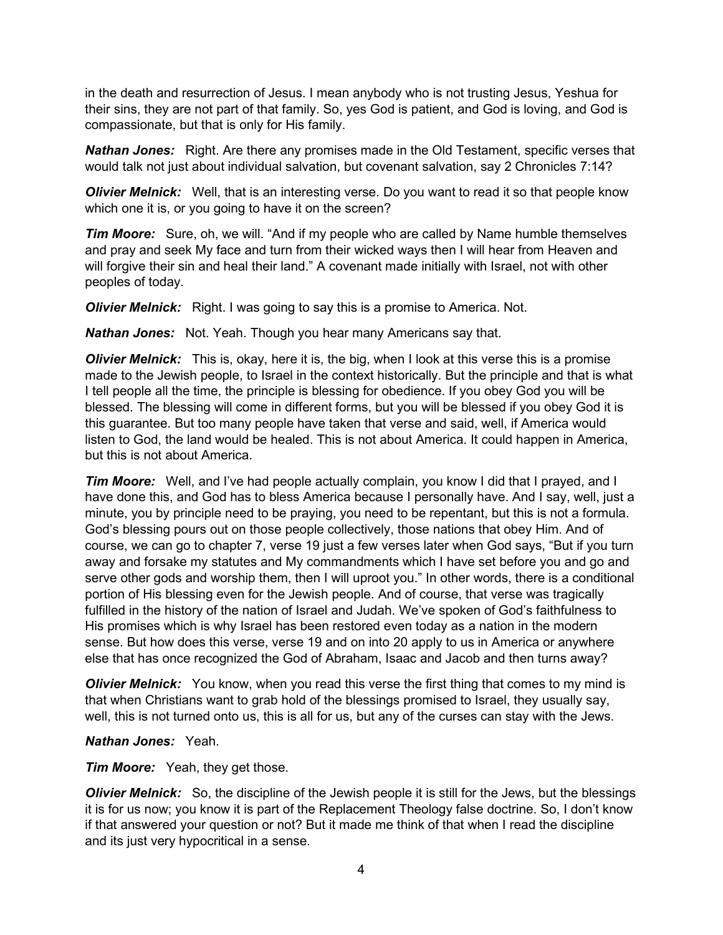in the death and resurrection of Jesus. I mean anybody who is not trusting Jesus, Yeshua for their sins, they are not part of that family. So, yes God is patient, and God is loving, and God is compassionate, but that is only for His family.

*Nathan Jones:* Right. Are there any promises made in the Old Testament, specific verses that would talk not just about individual salvation, but covenant salvation, say 2 Chronicles 7:14?

*Olivier Melnick:* Well, that is an interesting verse. Do you want to read it so that people know which one it is, or you going to have it on the screen?

*Tim Moore:* Sure, oh, we will. "And if my people who are called by Name humble themselves and pray and seek My face and turn from their wicked ways then I will hear from Heaven and will forgive their sin and heal their land." A covenant made initially with Israel, not with other peoples of today.

*Olivier Melnick:* Right. I was going to say this is a promise to America. Not.

*Nathan Jones:* Not. Yeah. Though you hear many Americans say that.

*Olivier Melnick:* This is, okay, here it is, the big, when I look at this verse this is a promise made to the Jewish people, to Israel in the context historically. But the principle and that is what I tell people all the time, the principle is blessing for obedience. If you obey God you will be blessed. The blessing will come in different forms, but you will be blessed if you obey God it is this guarantee. But too many people have taken that verse and said, well, if America would listen to God, the land would be healed. This is not about America. It could happen in America, but this is not about America.

**Tim Moore:** Well, and I've had people actually complain, you know I did that I prayed, and I have done this, and God has to bless America because I personally have. And I say, well, just a minute, you by principle need to be praying, you need to be repentant, but this is not a formula. God's blessing pours out on those people collectively, those nations that obey Him. And of course, we can go to chapter 7, verse 19 just a few verses later when God says, "But if you turn away and forsake my statutes and My commandments which I have set before you and go and serve other gods and worship them, then I will uproot you." In other words, there is a conditional portion of His blessing even for the Jewish people. And of course, that verse was tragically fulfilled in the history of the nation of Israel and Judah. We've spoken of God's faithfulness to His promises which is why Israel has been restored even today as a nation in the modern sense. But how does this verse, verse 19 and on into 20 apply to us in America or anywhere else that has once recognized the God of Abraham, Isaac and Jacob and then turns away?

*Olivier Melnick:* You know, when you read this verse the first thing that comes to my mind is that when Christians want to grab hold of the blessings promised to Israel, they usually say, well, this is not turned onto us, this is all for us, but any of the curses can stay with the Jews.

*Nathan Jones:* Yeah.

*Tim Moore:* Yeah, they get those.

*Olivier Melnick:* So, the discipline of the Jewish people it is still for the Jews, but the blessings it is for us now; you know it is part of the Replacement Theology false doctrine. So, I don't know if that answered your question or not? But it made me think of that when I read the discipline and its just very hypocritical in a sense.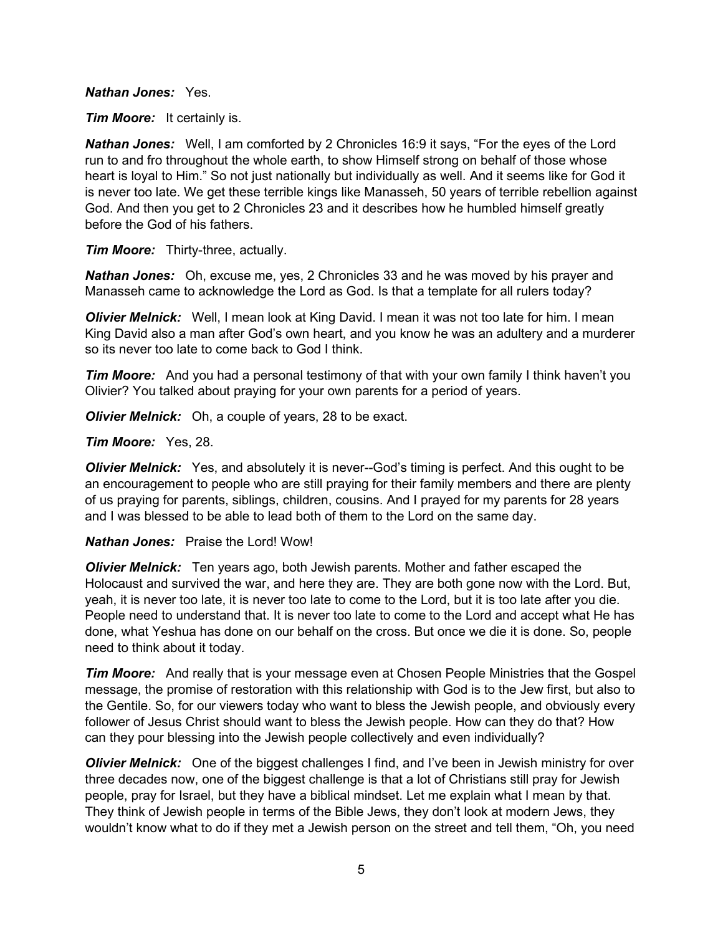#### *Nathan Jones:* Yes.

*Tim Moore:* It certainly is.

*Nathan Jones:* Well, I am comforted by 2 Chronicles 16:9 it says, "For the eyes of the Lord run to and fro throughout the whole earth, to show Himself strong on behalf of those whose heart is loyal to Him." So not just nationally but individually as well. And it seems like for God it is never too late. We get these terrible kings like Manasseh, 50 years of terrible rebellion against God. And then you get to 2 Chronicles 23 and it describes how he humbled himself greatly before the God of his fathers.

*Tim Moore:* Thirty-three, actually.

*Nathan Jones:* Oh, excuse me, yes, 2 Chronicles 33 and he was moved by his prayer and Manasseh came to acknowledge the Lord as God. Is that a template for all rulers today?

*Olivier Melnick:* Well, I mean look at King David. I mean it was not too late for him. I mean King David also a man after God's own heart, and you know he was an adultery and a murderer so its never too late to come back to God I think.

**Tim Moore:** And you had a personal testimony of that with your own family I think haven't you Olivier? You talked about praying for your own parents for a period of years.

*Olivier Melnick:* Oh, a couple of years, 28 to be exact.

#### *Tim Moore:* Yes, 28.

*Olivier Melnick:* Yes, and absolutely it is never--God's timing is perfect. And this ought to be an encouragement to people who are still praying for their family members and there are plenty of us praying for parents, siblings, children, cousins. And I prayed for my parents for 28 years and I was blessed to be able to lead both of them to the Lord on the same day.

#### *Nathan Jones:* Praise the Lord! Wow!

*Olivier Melnick:* Ten years ago, both Jewish parents. Mother and father escaped the Holocaust and survived the war, and here they are. They are both gone now with the Lord. But, yeah, it is never too late, it is never too late to come to the Lord, but it is too late after you die. People need to understand that. It is never too late to come to the Lord and accept what He has done, what Yeshua has done on our behalf on the cross. But once we die it is done. So, people need to think about it today.

*Tim Moore:* And really that is your message even at Chosen People Ministries that the Gospel message, the promise of restoration with this relationship with God is to the Jew first, but also to the Gentile. So, for our viewers today who want to bless the Jewish people, and obviously every follower of Jesus Christ should want to bless the Jewish people. How can they do that? How can they pour blessing into the Jewish people collectively and even individually?

*Olivier Melnick:* One of the biggest challenges I find, and I've been in Jewish ministry for over three decades now, one of the biggest challenge is that a lot of Christians still pray for Jewish people, pray for Israel, but they have a biblical mindset. Let me explain what I mean by that. They think of Jewish people in terms of the Bible Jews, they don't look at modern Jews, they wouldn't know what to do if they met a Jewish person on the street and tell them, "Oh, you need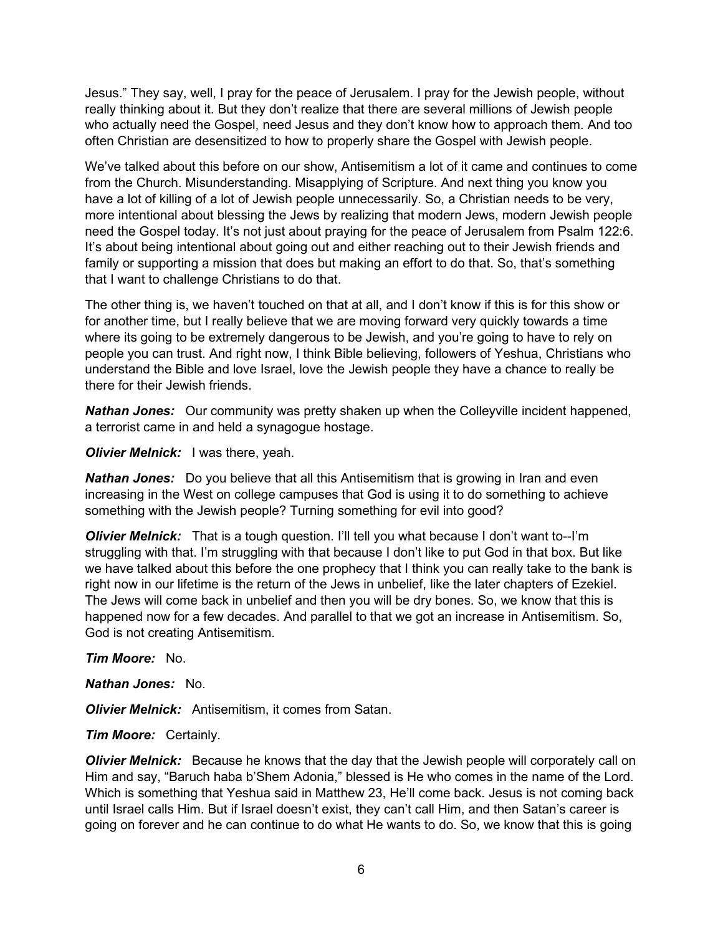Jesus." They say, well, I pray for the peace of Jerusalem. I pray for the Jewish people, without really thinking about it. But they don't realize that there are several millions of Jewish people who actually need the Gospel, need Jesus and they don't know how to approach them. And too often Christian are desensitized to how to properly share the Gospel with Jewish people.

We've talked about this before on our show, Antisemitism a lot of it came and continues to come from the Church. Misunderstanding. Misapplying of Scripture. And next thing you know you have a lot of killing of a lot of Jewish people unnecessarily. So, a Christian needs to be very, more intentional about blessing the Jews by realizing that modern Jews, modern Jewish people need the Gospel today. It's not just about praying for the peace of Jerusalem from Psalm 122:6. It's about being intentional about going out and either reaching out to their Jewish friends and family or supporting a mission that does but making an effort to do that. So, that's something that I want to challenge Christians to do that.

The other thing is, we haven't touched on that at all, and I don't know if this is for this show or for another time, but I really believe that we are moving forward very quickly towards a time where its going to be extremely dangerous to be Jewish, and you're going to have to rely on people you can trust. And right now, I think Bible believing, followers of Yeshua, Christians who understand the Bible and love Israel, love the Jewish people they have a chance to really be there for their Jewish friends.

*Nathan Jones:* Our community was pretty shaken up when the Colleyville incident happened, a terrorist came in and held a synagogue hostage.

*Olivier Melnick:* I was there, yeah.

*Nathan Jones:* Do you believe that all this Antisemitism that is growing in Iran and even increasing in the West on college campuses that God is using it to do something to achieve something with the Jewish people? Turning something for evil into good?

**Olivier Melnick:** That is a tough question. I'll tell you what because I don't want to--I'm struggling with that. I'm struggling with that because I don't like to put God in that box. But like we have talked about this before the one prophecy that I think you can really take to the bank is right now in our lifetime is the return of the Jews in unbelief, like the later chapters of Ezekiel. The Jews will come back in unbelief and then you will be dry bones. So, we know that this is happened now for a few decades. And parallel to that we got an increase in Antisemitism. So, God is not creating Antisemitism.

# *Tim Moore:* No.

#### *Nathan Jones:* No.

*Olivier Melnick:* Antisemitism, it comes from Satan.

#### *Tim Moore:* Certainly.

*Olivier Melnick:* Because he knows that the day that the Jewish people will corporately call on Him and say, "Baruch haba b'Shem Adonia," blessed is He who comes in the name of the Lord. Which is something that Yeshua said in Matthew 23, He'll come back. Jesus is not coming back until Israel calls Him. But if Israel doesn't exist, they can't call Him, and then Satan's career is going on forever and he can continue to do what He wants to do. So, we know that this is going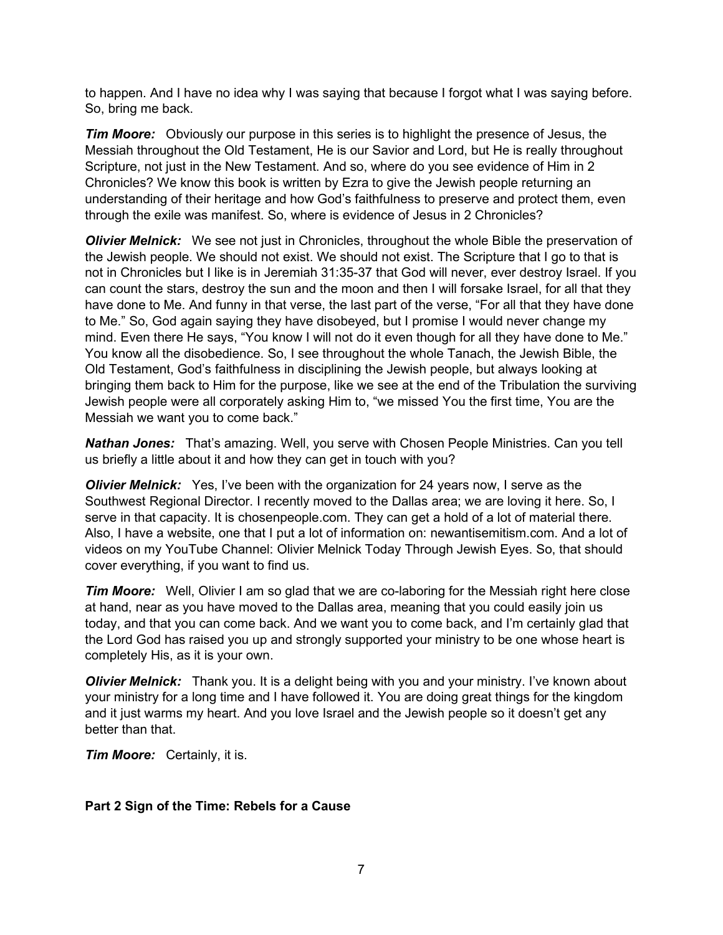to happen. And I have no idea why I was saying that because I forgot what I was saying before. So, bring me back.

*Tim Moore:* Obviously our purpose in this series is to highlight the presence of Jesus, the Messiah throughout the Old Testament, He is our Savior and Lord, but He is really throughout Scripture, not just in the New Testament. And so, where do you see evidence of Him in 2 Chronicles? We know this book is written by Ezra to give the Jewish people returning an understanding of their heritage and how God's faithfulness to preserve and protect them, even through the exile was manifest. So, where is evidence of Jesus in 2 Chronicles?

*Olivier Melnick:* We see not just in Chronicles, throughout the whole Bible the preservation of the Jewish people. We should not exist. We should not exist. The Scripture that I go to that is not in Chronicles but I like is in Jeremiah 31:35-37 that God will never, ever destroy Israel. If you can count the stars, destroy the sun and the moon and then I will forsake Israel, for all that they have done to Me. And funny in that verse, the last part of the verse, "For all that they have done to Me." So, God again saying they have disobeyed, but I promise I would never change my mind. Even there He says, "You know I will not do it even though for all they have done to Me." You know all the disobedience. So, I see throughout the whole Tanach, the Jewish Bible, the Old Testament, God's faithfulness in disciplining the Jewish people, but always looking at bringing them back to Him for the purpose, like we see at the end of the Tribulation the surviving Jewish people were all corporately asking Him to, "we missed You the first time, You are the Messiah we want you to come back."

*Nathan Jones:* That's amazing. Well, you serve with Chosen People Ministries. Can you tell us briefly a little about it and how they can get in touch with you?

*Olivier Melnick:* Yes, I've been with the organization for 24 years now, I serve as the Southwest Regional Director. I recently moved to the Dallas area; we are loving it here. So, I serve in that capacity. It is chosenpeople.com. They can get a hold of a lot of material there. Also, I have a website, one that I put a lot of information on: newantisemitism.com. And a lot of videos on my YouTube Channel: Olivier Melnick Today Through Jewish Eyes. So, that should cover everything, if you want to find us.

*Tim Moore:* Well, Olivier I am so glad that we are co-laboring for the Messiah right here close at hand, near as you have moved to the Dallas area, meaning that you could easily join us today, and that you can come back. And we want you to come back, and I'm certainly glad that the Lord God has raised you up and strongly supported your ministry to be one whose heart is completely His, as it is your own.

*Olivier Melnick:* Thank you. It is a delight being with you and your ministry. I've known about your ministry for a long time and I have followed it. You are doing great things for the kingdom and it just warms my heart. And you love Israel and the Jewish people so it doesn't get any better than that.

*Tim Moore:* Certainly, it is.

# **Part 2 Sign of the Time: Rebels for a Cause**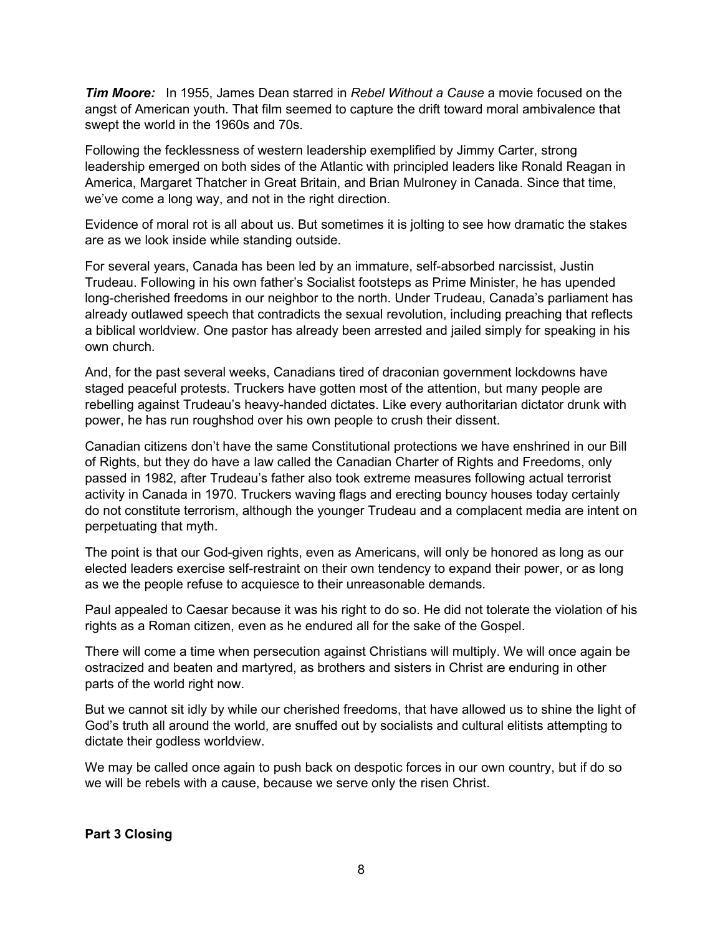*Tim Moore:* In 1955, James Dean starred in *Rebel Without a Cause* a movie focused on the angst of American youth. That film seemed to capture the drift toward moral ambivalence that swept the world in the 1960s and 70s.

Following the fecklessness of western leadership exemplified by Jimmy Carter, strong leadership emerged on both sides of the Atlantic with principled leaders like Ronald Reagan in America, Margaret Thatcher in Great Britain, and Brian Mulroney in Canada. Since that time, we've come a long way, and not in the right direction.

Evidence of moral rot is all about us. But sometimes it is jolting to see how dramatic the stakes are as we look inside while standing outside.

For several years, Canada has been led by an immature, self-absorbed narcissist, Justin Trudeau. Following in his own father's Socialist footsteps as Prime Minister, he has upended long-cherished freedoms in our neighbor to the north. Under Trudeau, Canada's parliament has already outlawed speech that contradicts the sexual revolution, including preaching that reflects a biblical worldview. One pastor has already been arrested and jailed simply for speaking in his own church.

And, for the past several weeks, Canadians tired of draconian government lockdowns have staged peaceful protests. Truckers have gotten most of the attention, but many people are rebelling against Trudeau's heavy-handed dictates. Like every authoritarian dictator drunk with power, he has run roughshod over his own people to crush their dissent.

Canadian citizens don't have the same Constitutional protections we have enshrined in our Bill of Rights, but they do have a law called the Canadian Charter of Rights and Freedoms, only passed in 1982, after Trudeau's father also took extreme measures following actual terrorist activity in Canada in 1970. Truckers waving flags and erecting bouncy houses today certainly do not constitute terrorism, although the younger Trudeau and a complacent media are intent on perpetuating that myth.

The point is that our God-given rights, even as Americans, will only be honored as long as our elected leaders exercise self-restraint on their own tendency to expand their power, or as long as we the people refuse to acquiesce to their unreasonable demands.

Paul appealed to Caesar because it was his right to do so. He did not tolerate the violation of his rights as a Roman citizen, even as he endured all for the sake of the Gospel.

There will come a time when persecution against Christians will multiply. We will once again be ostracized and beaten and martyred, as brothers and sisters in Christ are enduring in other parts of the world right now.

But we cannot sit idly by while our cherished freedoms, that have allowed us to shine the light of God's truth all around the world, are snuffed out by socialists and cultural elitists attempting to dictate their godless worldview.

We may be called once again to push back on despotic forces in our own country, but if do so we will be rebels with a cause, because we serve only the risen Christ.